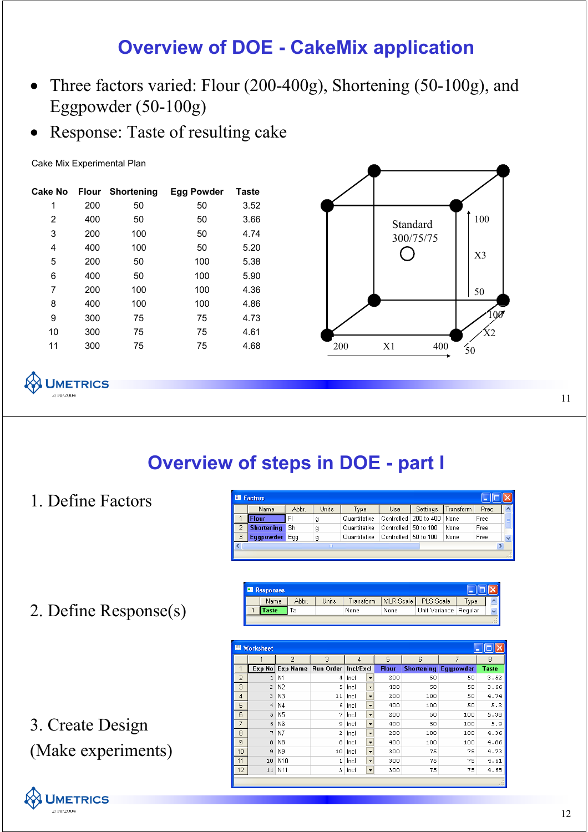## **Overview of DOE - CakeMix application**

- Three factors varied: Flour (200-400g), Shortening (50-100g), and Eggpowder (50-100g)
- Response: Taste of resulting cake

Cake Mix Experimental Plan

| Cake No |     | <b>Flour Shortening</b> | Egg Powder | <b>Taste</b> |
|---------|-----|-------------------------|------------|--------------|
| 1       | 200 | 50                      | 50         | 3.52         |
| 2       | 400 | 50                      | 50         | 3.66         |
| 3       | 200 | 100                     | 50         | 4.74         |
| 4       | 400 | 100                     | 50         | 5.20         |
| 5       | 200 | 50                      | 100        | 5.38         |
| 6       | 400 | 50                      | 100        | 5.90         |
| 7       | 200 | 100                     | 100        | 4.36         |
| 8       | 400 | 100                     | 100        | 4.86         |
| 9       | 300 | 75                      | 75         | 4.73         |
| 10      | 300 | 75                      | 75         | 4.61         |
| 11      | 300 | 75                      | 75         | 4.68         |



**JMETRICS**  $11^{2/10/2004}$ 

## **Overview of steps in DOE - part I**

1. Define Factors

|   | <b>El Factors</b> |       |       |              |                      |            |           |       |   |
|---|-------------------|-------|-------|--------------|----------------------|------------|-----------|-------|---|
|   | Name              | Abbr. | Units | Type         | Use                  | Settings   | Transform | Prec. |   |
|   | <b>Flour</b>      | FI    | g     | Quantitative | Controlled           | 200 to 400 | None      | Free  |   |
|   | Shortening        | Sh    | g     | Quantitative | Controlled 50 to 100 |            | None      | Free  |   |
| 3 | Eggpowder         | Egg   | g     | Quantitative | Controlled 50 to 100 |            | None      | Free  | v |
|   |                   |       | Ш     |              |                      |            |           |       |   |

2. Define Response(s)

|  | <b>■ Responses</b> |       |       |           |           |                         |                 |        |
|--|--------------------|-------|-------|-----------|-----------|-------------------------|-----------------|--------|
|  | Name               | Abbr. | Units | Transform | MLR Scale | PLS Scale               | v <sub>pe</sub> |        |
|  | <b>aste</b>        |       |       | None      | None      | Unit Variance   Regular |                 |        |
|  |                    |       |       |           |           |                         |                 | $\sim$ |

| <b>■ Worksheet</b> |                |                |           |           |                          |              |                   |           |              |  |
|--------------------|----------------|----------------|-----------|-----------|--------------------------|--------------|-------------------|-----------|--------------|--|
|                    |                | $\overline{2}$ | 3         | 4         |                          | 5            | 6                 | 7         | 8            |  |
|                    | Exp No         | Exp Name       | Run Order | Incl/Excl |                          | <b>Flour</b> | <b>Shortening</b> | Eggpowder | <b>Taste</b> |  |
| $\overline{2}$     | $\mathbf{1}$   | N1             | 4         | Incl      | $\overline{\phantom{0}}$ | 200          | 50                | 50        | 3.52         |  |
| 3                  | $\overline{c}$ | N <sub>2</sub> | 5         | Incl      | $\overline{\phantom{0}}$ | 400          | 50                | 50        | 3.66         |  |
| 4                  | 3              | N3             | 11        | Incl      | $\overline{\phantom{a}}$ | 200          | 100               | 50        | 4.74         |  |
| 5                  | $\overline{4}$ | N <sub>4</sub> | 6         | Incl      | $\overline{\phantom{a}}$ | 400          | 100               | 50        | 5.2          |  |
| 6                  | 5              | N5             | 7         | Incl      | $\overline{\phantom{a}}$ | 200          | 50                | 100       | 5.38         |  |
| $\overline{7}$     | 6              | N <sub>6</sub> | 9         | Incl      | $\overline{\phantom{a}}$ | 400          | 50                | 100       | 5.9          |  |
| 8                  | 7              | N7             | 2         | Incl      | $\overline{\phantom{a}}$ | 200          | 100               | 100       | 4.36         |  |
| 9                  | 8              | N8             | 8         | Incl      | $\overline{\phantom{a}}$ | 400          | 100               | 100       | 4.86         |  |
| 10                 | 9              | N <sub>9</sub> | 10        | Incl      | $\blacktriangledown$     | 300          | 75                | 75        | 4.73         |  |
| 11                 | 10             | N10            | 1         | Incl      | $\overline{\phantom{a}}$ | 300          | 75                | 75        | 4.61         |  |
| 12                 | 11             | N11            | 3         | Incl      | $\blacktriangledown$     | 300          | 75                | 75        | 4.68         |  |



(Make experiments)